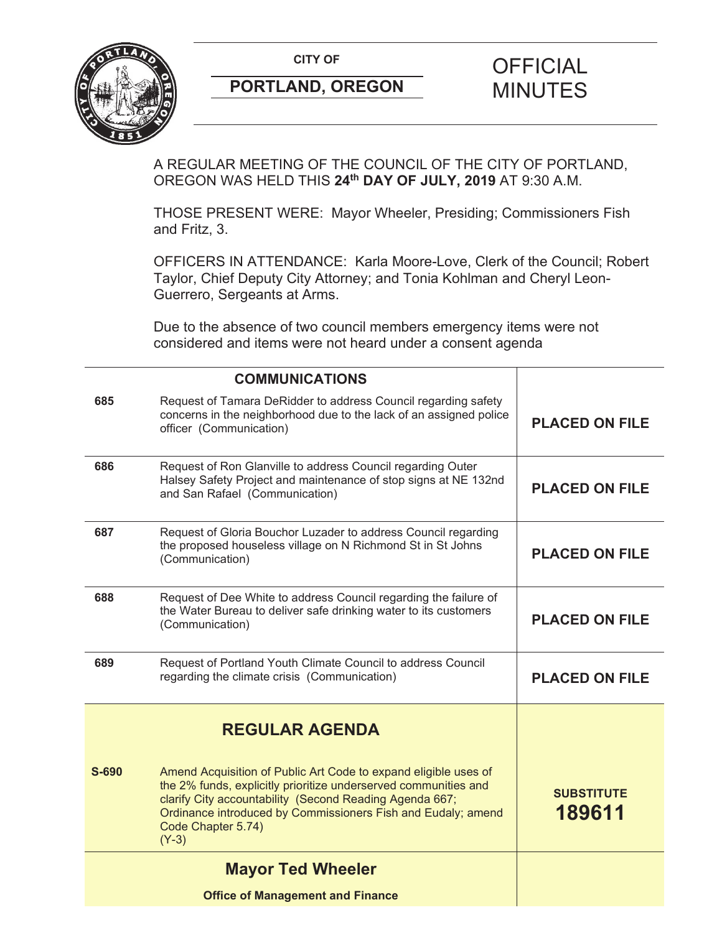

# **PORTLAND, OREGON MINUTES**

# **CITY OF CITY OF PICIAL**

A REGULAR MEETING OF THE COUNCIL OF THE CITY OF PORTLAND, OREGON WAS HELD THIS **24th DAY OF JULY, 2019** AT 9:30 A.M.

THOSE PRESENT WERE: Mayor Wheeler, Presiding; Commissioners Fish and Fritz, 3.

OFFICERS IN ATTENDANCE: Karla Moore-Love, Clerk of the Council; Robert Taylor, Chief Deputy City Attorney; and Tonia Kohlman and Cheryl Leon-Guerrero, Sergeants at Arms.

Due to the absence of two council members emergency items were not considered and items were not heard under a consent agenda

|       | <b>COMMUNICATIONS</b>                                                                                                                                                                                                                                                                          |                             |
|-------|------------------------------------------------------------------------------------------------------------------------------------------------------------------------------------------------------------------------------------------------------------------------------------------------|-----------------------------|
| 685   | Request of Tamara DeRidder to address Council regarding safety<br>concerns in the neighborhood due to the lack of an assigned police<br>officer (Communication)                                                                                                                                | <b>PLACED ON FILE</b>       |
| 686   | Request of Ron Glanville to address Council regarding Outer<br>Halsey Safety Project and maintenance of stop signs at NE 132nd<br>and San Rafael (Communication)                                                                                                                               | <b>PLACED ON FILE</b>       |
| 687   | Request of Gloria Bouchor Luzader to address Council regarding<br>the proposed houseless village on N Richmond St in St Johns<br>(Communication)                                                                                                                                               | <b>PLACED ON FILE</b>       |
| 688   | Request of Dee White to address Council regarding the failure of<br>the Water Bureau to deliver safe drinking water to its customers<br>(Communication)                                                                                                                                        | <b>PLACED ON FILE</b>       |
| 689   | Request of Portland Youth Climate Council to address Council<br>regarding the climate crisis (Communication)                                                                                                                                                                                   | <b>PLACED ON FILE</b>       |
|       | <b>REGULAR AGENDA</b>                                                                                                                                                                                                                                                                          |                             |
| S-690 | Amend Acquisition of Public Art Code to expand eligible uses of<br>the 2% funds, explicitly prioritize underserved communities and<br>clarify City accountability (Second Reading Agenda 667;<br>Ordinance introduced by Commissioners Fish and Eudaly; amend<br>Code Chapter 5.74)<br>$(Y-3)$ | <b>SUBSTITUTE</b><br>189611 |
|       | <b>Mayor Ted Wheeler</b>                                                                                                                                                                                                                                                                       |                             |
|       | <b>Office of Management and Finance</b>                                                                                                                                                                                                                                                        |                             |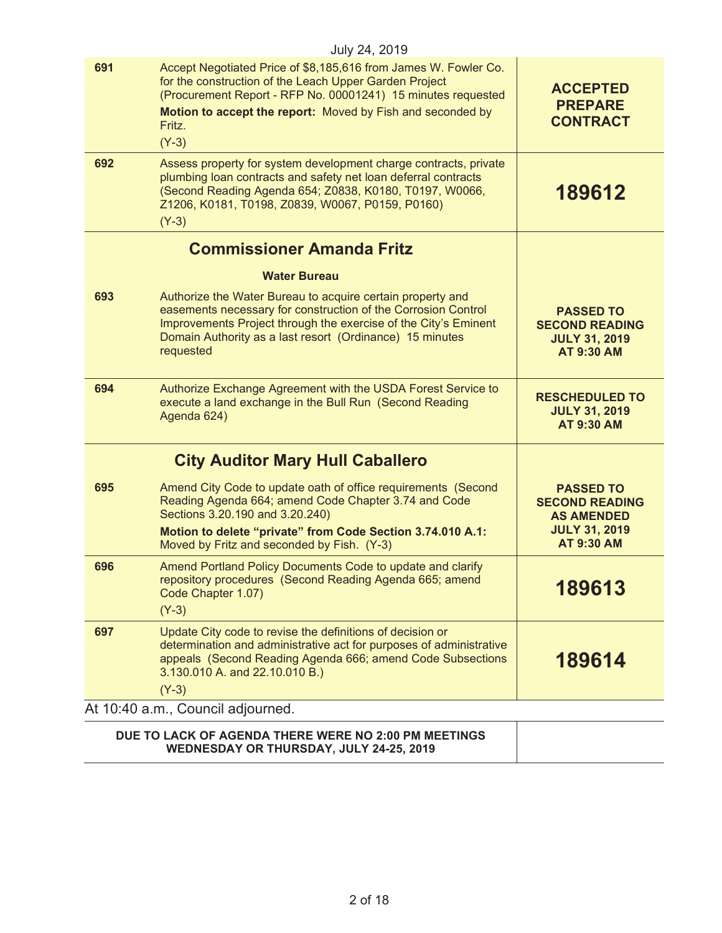|                                   | July 24, 2019                                                                                                                                                                                                                                                                |                                                                                                             |
|-----------------------------------|------------------------------------------------------------------------------------------------------------------------------------------------------------------------------------------------------------------------------------------------------------------------------|-------------------------------------------------------------------------------------------------------------|
| 691                               | Accept Negotiated Price of \$8,185,616 from James W. Fowler Co.<br>for the construction of the Leach Upper Garden Project<br>(Procurement Report - RFP No. 00001241) 15 minutes requested<br>Motion to accept the report: Moved by Fish and seconded by<br>Fritz.<br>$(Y-3)$ | <b>ACCEPTED</b><br><b>PREPARE</b><br><b>CONTRACT</b>                                                        |
| 692                               | Assess property for system development charge contracts, private<br>plumbing loan contracts and safety net loan deferral contracts<br>(Second Reading Agenda 654; Z0838, K0180, T0197, W0066,<br>Z1206, K0181, T0198, Z0839, W0067, P0159, P0160)<br>$(Y-3)$                 | 189612                                                                                                      |
|                                   | <b>Commissioner Amanda Fritz</b>                                                                                                                                                                                                                                             |                                                                                                             |
|                                   | <b>Water Bureau</b>                                                                                                                                                                                                                                                          |                                                                                                             |
| 693                               | Authorize the Water Bureau to acquire certain property and<br>easements necessary for construction of the Corrosion Control<br>Improvements Project through the exercise of the City's Eminent<br>Domain Authority as a last resort (Ordinance) 15 minutes<br>requested      | <b>PASSED TO</b><br><b>SECOND READING</b><br><b>JULY 31, 2019</b><br><b>AT 9:30 AM</b>                      |
| 694                               | Authorize Exchange Agreement with the USDA Forest Service to<br>execute a land exchange in the Bull Run (Second Reading<br>Agenda 624)                                                                                                                                       | <b>RESCHEDULED TO</b><br><b>JULY 31, 2019</b><br><b>AT 9:30 AM</b>                                          |
|                                   | <b>City Auditor Mary Hull Caballero</b>                                                                                                                                                                                                                                      |                                                                                                             |
| 695                               | Amend City Code to update oath of office requirements (Second<br>Reading Agenda 664; amend Code Chapter 3.74 and Code<br>Sections 3.20.190 and 3.20.240)<br>Motion to delete "private" from Code Section 3.74.010 A.1:<br>Moved by Fritz and seconded by Fish. (Y-3)         | <b>PASSED TO</b><br><b>SECOND READING</b><br><b>AS AMENDED</b><br><b>JULY 31, 2019</b><br><b>AT 9:30 AM</b> |
| 696                               | Amend Portland Policy Documents Code to update and clarify<br>repository procedures (Second Reading Agenda 665; amend<br>Code Chapter 1.07)<br>$(Y-3)$                                                                                                                       | 189613                                                                                                      |
| 697                               | Update City code to revise the definitions of decision or<br>determination and administrative act for purposes of administrative<br>appeals (Second Reading Agenda 666; amend Code Subsections<br>3.130.010 A. and 22.10.010 B.)<br>$(Y-3)$                                  | 189614                                                                                                      |
| At 10:40 a.m., Council adjourned. |                                                                                                                                                                                                                                                                              |                                                                                                             |
|                                   | DUE TO LACK OF AGENDA THERE WERE NO 2:00 PM MEETINGS<br>WEDNESDAY OR THURSDAY, JULY 24-25, 2019                                                                                                                                                                              |                                                                                                             |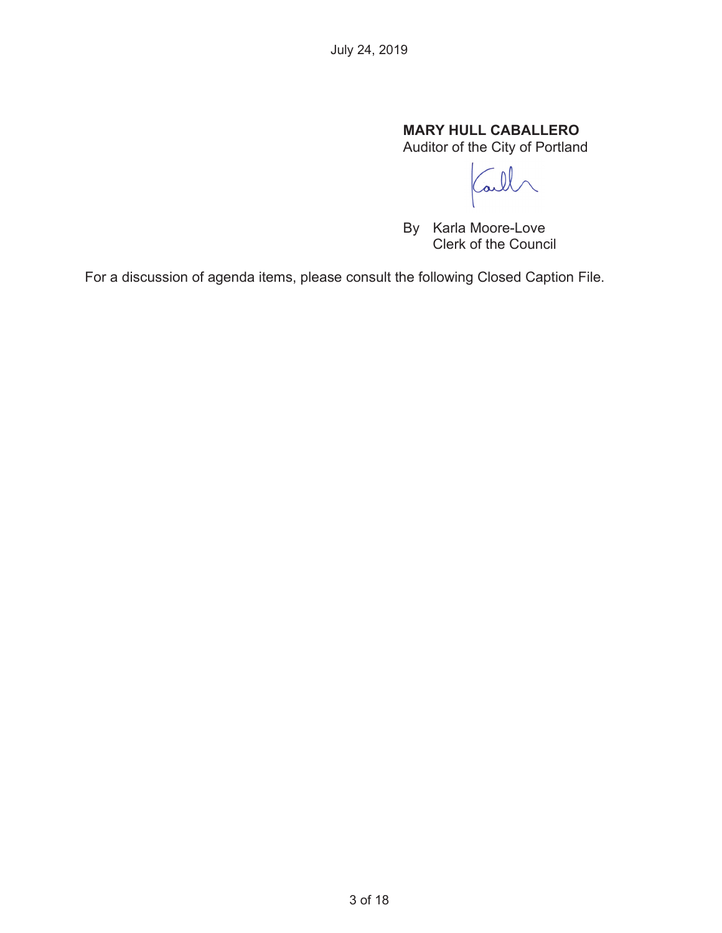# **MARY HULL CABALLERO**

Auditor of the City of Portland

 $\mathcal{Q}$ ai

By Karla Moore-Love Clerk of the Council

For a discussion of agenda items, please consult the following Closed Caption File.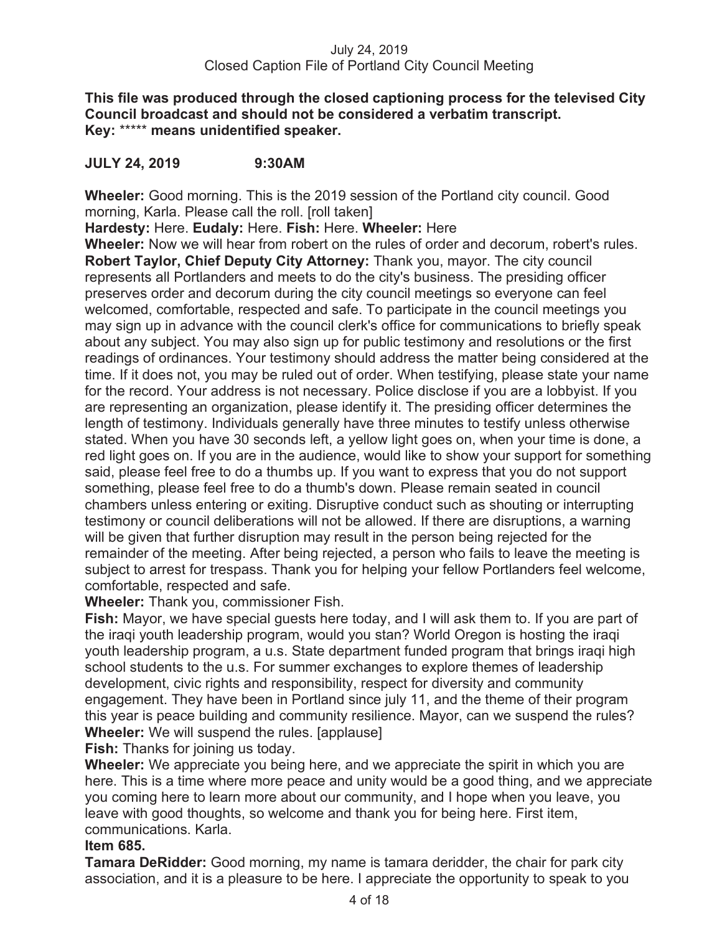**This file was produced through the closed captioning process for the televised City Council broadcast and should not be considered a verbatim transcript. Key:** \*\*\*\*\* **means unidentified speaker.** 

# **JULY 24, 2019 9:30AM**

**Wheeler:** Good morning. This is the 2019 session of the Portland city council. Good morning, Karla. Please call the roll. [roll taken]

**Hardesty:** Here. **Eudaly:** Here. **Fish:** Here. **Wheeler:** Here

**Wheeler:** Now we will hear from robert on the rules of order and decorum, robert's rules. **Robert Taylor, Chief Deputy City Attorney:** Thank you, mayor. The city council represents all Portlanders and meets to do the city's business. The presiding officer preserves order and decorum during the city council meetings so everyone can feel welcomed, comfortable, respected and safe. To participate in the council meetings you may sign up in advance with the council clerk's office for communications to briefly speak about any subject. You may also sign up for public testimony and resolutions or the first readings of ordinances. Your testimony should address the matter being considered at the time. If it does not, you may be ruled out of order. When testifying, please state your name for the record. Your address is not necessary. Police disclose if you are a lobbyist. If you are representing an organization, please identify it. The presiding officer determines the length of testimony. Individuals generally have three minutes to testify unless otherwise stated. When you have 30 seconds left, a yellow light goes on, when your time is done, a red light goes on. If you are in the audience, would like to show your support for something said, please feel free to do a thumbs up. If you want to express that you do not support something, please feel free to do a thumb's down. Please remain seated in council chambers unless entering or exiting. Disruptive conduct such as shouting or interrupting testimony or council deliberations will not be allowed. If there are disruptions, a warning will be given that further disruption may result in the person being rejected for the remainder of the meeting. After being rejected, a person who fails to leave the meeting is subject to arrest for trespass. Thank you for helping your fellow Portlanders feel welcome, comfortable, respected and safe.

**Wheeler:** Thank you, commissioner Fish.

**Fish:** Mayor, we have special guests here today, and I will ask them to. If you are part of the iraqi youth leadership program, would you stan? World Oregon is hosting the iraqi youth leadership program, a u.s. State department funded program that brings iraqi high school students to the u.s. For summer exchanges to explore themes of leadership development, civic rights and responsibility, respect for diversity and community engagement. They have been in Portland since july 11, and the theme of their program this year is peace building and community resilience. Mayor, can we suspend the rules? **Wheeler:** We will suspend the rules. [applause]

**Fish:** Thanks for joining us today.

**Wheeler:** We appreciate you being here, and we appreciate the spirit in which you are here. This is a time where more peace and unity would be a good thing, and we appreciate you coming here to learn more about our community, and I hope when you leave, you leave with good thoughts, so welcome and thank you for being here. First item, communications. Karla.

# **Item 685.**

**Tamara DeRidder:** Good morning, my name is tamara deridder, the chair for park city association, and it is a pleasure to be here. I appreciate the opportunity to speak to you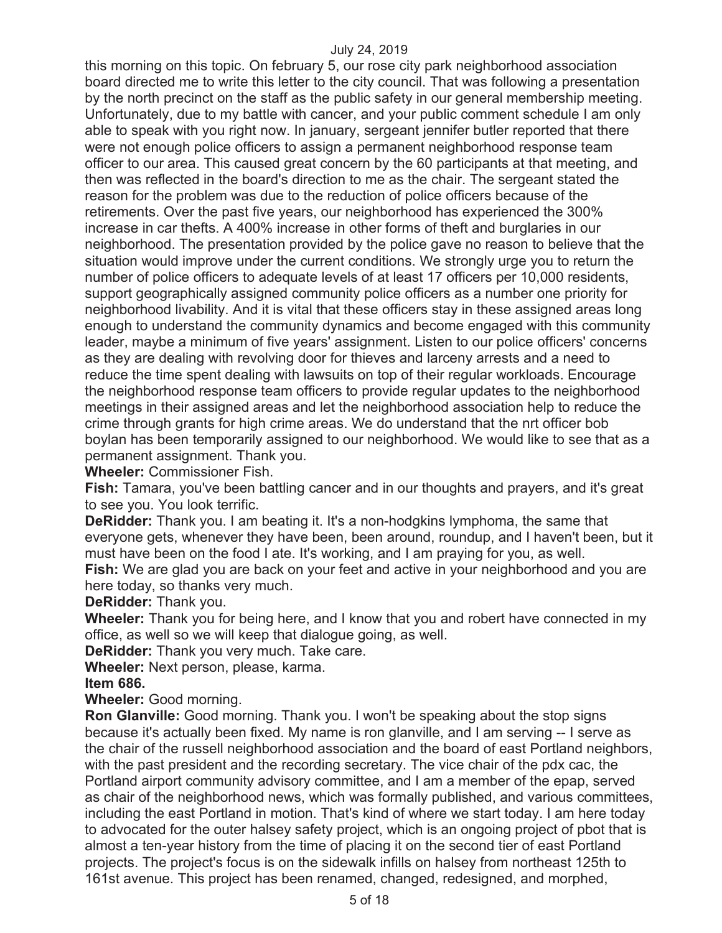this morning on this topic. On february 5, our rose city park neighborhood association board directed me to write this letter to the city council. That was following a presentation by the north precinct on the staff as the public safety in our general membership meeting. Unfortunately, due to my battle with cancer, and your public comment schedule I am only able to speak with you right now. In january, sergeant jennifer butler reported that there were not enough police officers to assign a permanent neighborhood response team officer to our area. This caused great concern by the 60 participants at that meeting, and then was reflected in the board's direction to me as the chair. The sergeant stated the reason for the problem was due to the reduction of police officers because of the retirements. Over the past five years, our neighborhood has experienced the 300% increase in car thefts. A 400% increase in other forms of theft and burglaries in our neighborhood. The presentation provided by the police gave no reason to believe that the situation would improve under the current conditions. We strongly urge you to return the number of police officers to adequate levels of at least 17 officers per 10,000 residents, support geographically assigned community police officers as a number one priority for neighborhood livability. And it is vital that these officers stay in these assigned areas long enough to understand the community dynamics and become engaged with this community leader, maybe a minimum of five years' assignment. Listen to our police officers' concerns as they are dealing with revolving door for thieves and larceny arrests and a need to reduce the time spent dealing with lawsuits on top of their regular workloads. Encourage the neighborhood response team officers to provide regular updates to the neighborhood meetings in their assigned areas and let the neighborhood association help to reduce the crime through grants for high crime areas. We do understand that the nrt officer bob boylan has been temporarily assigned to our neighborhood. We would like to see that as a permanent assignment. Thank you.

**Wheeler:** Commissioner Fish.

**Fish:** Tamara, you've been battling cancer and in our thoughts and prayers, and it's great to see you. You look terrific.

**DeRidder:** Thank you. I am beating it. It's a non-hodgkins lymphoma, the same that everyone gets, whenever they have been, been around, roundup, and I haven't been, but it must have been on the food I ate. It's working, and I am praying for you, as well. **Fish:** We are glad you are back on your feet and active in your neighborhood and you are here today, so thanks very much.

**DeRidder:** Thank you.

**Wheeler:** Thank you for being here, and I know that you and robert have connected in my office, as well so we will keep that dialogue going, as well.

**DeRidder:** Thank you very much. Take care.

**Wheeler:** Next person, please, karma.

**Item 686.** 

**Wheeler:** Good morning.

**Ron Glanville:** Good morning. Thank you. I won't be speaking about the stop signs because it's actually been fixed. My name is ron glanville, and I am serving -- I serve as the chair of the russell neighborhood association and the board of east Portland neighbors, with the past president and the recording secretary. The vice chair of the pdx cac, the Portland airport community advisory committee, and I am a member of the epap, served as chair of the neighborhood news, which was formally published, and various committees, including the east Portland in motion. That's kind of where we start today. I am here today to advocated for the outer halsey safety project, which is an ongoing project of pbot that is almost a ten-year history from the time of placing it on the second tier of east Portland projects. The project's focus is on the sidewalk infills on halsey from northeast 125th to 161st avenue. This project has been renamed, changed, redesigned, and morphed,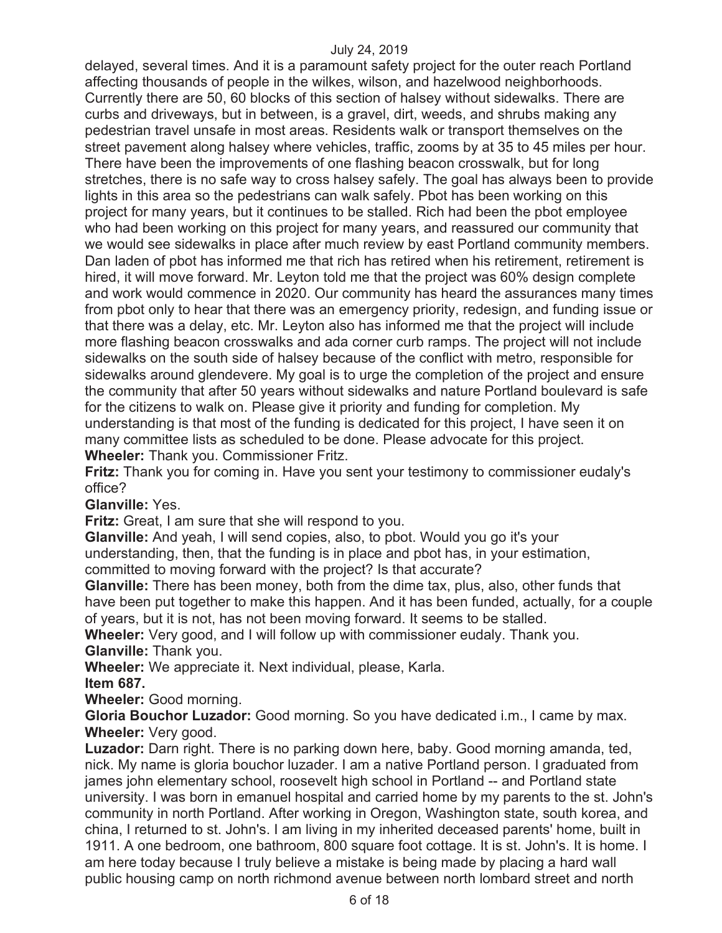delayed, several times. And it is a paramount safety project for the outer reach Portland affecting thousands of people in the wilkes, wilson, and hazelwood neighborhoods. Currently there are 50, 60 blocks of this section of halsey without sidewalks. There are curbs and driveways, but in between, is a gravel, dirt, weeds, and shrubs making any pedestrian travel unsafe in most areas. Residents walk or transport themselves on the street pavement along halsey where vehicles, traffic, zooms by at 35 to 45 miles per hour. There have been the improvements of one flashing beacon crosswalk, but for long stretches, there is no safe way to cross halsey safely. The goal has always been to provide lights in this area so the pedestrians can walk safely. Pbot has been working on this project for many years, but it continues to be stalled. Rich had been the pbot employee who had been working on this project for many years, and reassured our community that we would see sidewalks in place after much review by east Portland community members. Dan laden of pbot has informed me that rich has retired when his retirement, retirement is hired, it will move forward. Mr. Leyton told me that the project was 60% design complete and work would commence in 2020. Our community has heard the assurances many times from pbot only to hear that there was an emergency priority, redesign, and funding issue or that there was a delay, etc. Mr. Leyton also has informed me that the project will include more flashing beacon crosswalks and ada corner curb ramps. The project will not include sidewalks on the south side of halsey because of the conflict with metro, responsible for sidewalks around glendevere. My goal is to urge the completion of the project and ensure the community that after 50 years without sidewalks and nature Portland boulevard is safe for the citizens to walk on. Please give it priority and funding for completion. My understanding is that most of the funding is dedicated for this project, I have seen it on many committee lists as scheduled to be done. Please advocate for this project. **Wheeler:** Thank you. Commissioner Fritz.

**Fritz:** Thank you for coming in. Have you sent your testimony to commissioner eudaly's office?

**Glanville:** Yes.

**Fritz:** Great, I am sure that she will respond to you.

**Glanville:** And yeah, I will send copies, also, to pbot. Would you go it's your understanding, then, that the funding is in place and pbot has, in your estimation, committed to moving forward with the project? Is that accurate?

**Glanville:** There has been money, both from the dime tax, plus, also, other funds that have been put together to make this happen. And it has been funded, actually, for a couple of years, but it is not, has not been moving forward. It seems to be stalled.

**Wheeler:** Very good, and I will follow up with commissioner eudaly. Thank you. **Glanville:** Thank you.

**Wheeler:** We appreciate it. Next individual, please, Karla.

**Item 687.** 

**Wheeler:** Good morning.

**Gloria Bouchor Luzador:** Good morning. So you have dedicated i.m., I came by max. **Wheeler:** Very good.

**Luzador:** Darn right. There is no parking down here, baby. Good morning amanda, ted, nick. My name is gloria bouchor luzader. I am a native Portland person. I graduated from james john elementary school, roosevelt high school in Portland -- and Portland state university. I was born in emanuel hospital and carried home by my parents to the st. John's community in north Portland. After working in Oregon, Washington state, south korea, and china, I returned to st. John's. I am living in my inherited deceased parents' home, built in 1911. A one bedroom, one bathroom, 800 square foot cottage. It is st. John's. It is home. I am here today because I truly believe a mistake is being made by placing a hard wall public housing camp on north richmond avenue between north lombard street and north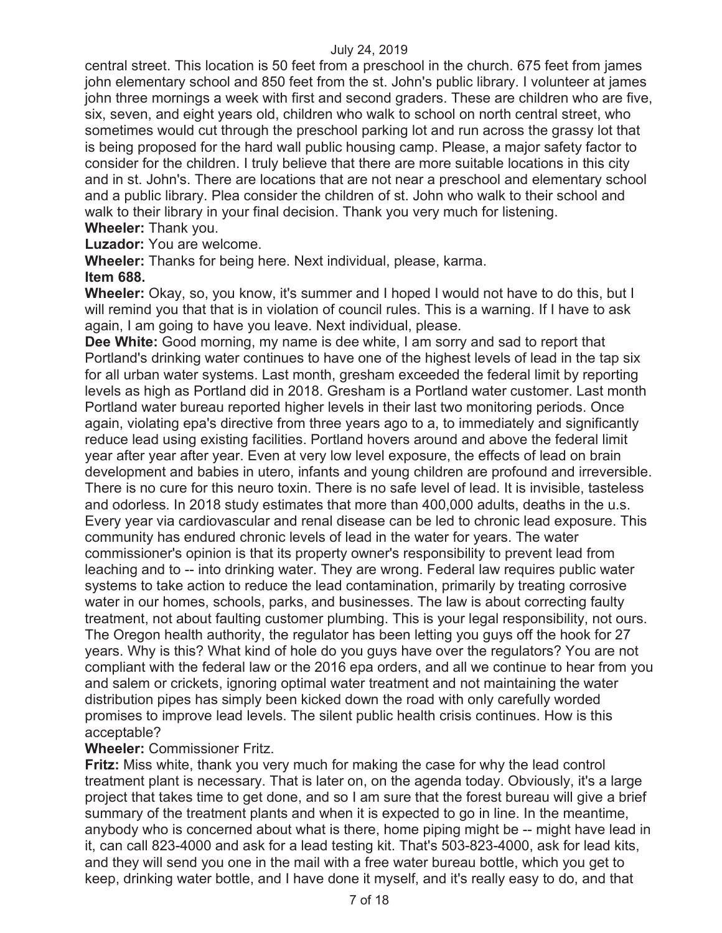central street. This location is 50 feet from a preschool in the church. 675 feet from james john elementary school and 850 feet from the st. John's public library. I volunteer at james john three mornings a week with first and second graders. These are children who are five, six, seven, and eight years old, children who walk to school on north central street, who sometimes would cut through the preschool parking lot and run across the grassy lot that is being proposed for the hard wall public housing camp. Please, a major safety factor to consider for the children. I truly believe that there are more suitable locations in this city and in st. John's. There are locations that are not near a preschool and elementary school and a public library. Plea consider the children of st. John who walk to their school and walk to their library in your final decision. Thank you very much for listening.

**Wheeler:** Thank you.

**Luzador:** You are welcome.

**Wheeler:** Thanks for being here. Next individual, please, karma.

#### **Item 688.**

**Wheeler:** Okay, so, you know, it's summer and I hoped I would not have to do this, but I will remind you that that is in violation of council rules. This is a warning. If I have to ask again, I am going to have you leave. Next individual, please.

**Dee White:** Good morning, my name is dee white, I am sorry and sad to report that Portland's drinking water continues to have one of the highest levels of lead in the tap six for all urban water systems. Last month, gresham exceeded the federal limit by reporting levels as high as Portland did in 2018. Gresham is a Portland water customer. Last month Portland water bureau reported higher levels in their last two monitoring periods. Once again, violating epa's directive from three years ago to a, to immediately and significantly reduce lead using existing facilities. Portland hovers around and above the federal limit year after year after year. Even at very low level exposure, the effects of lead on brain development and babies in utero, infants and young children are profound and irreversible. There is no cure for this neuro toxin. There is no safe level of lead. It is invisible, tasteless and odorless. In 2018 study estimates that more than 400,000 adults, deaths in the u.s. Every year via cardiovascular and renal disease can be led to chronic lead exposure. This community has endured chronic levels of lead in the water for years. The water commissioner's opinion is that its property owner's responsibility to prevent lead from leaching and to -- into drinking water. They are wrong. Federal law requires public water systems to take action to reduce the lead contamination, primarily by treating corrosive water in our homes, schools, parks, and businesses. The law is about correcting faulty treatment, not about faulting customer plumbing. This is your legal responsibility, not ours. The Oregon health authority, the regulator has been letting you guys off the hook for 27 years. Why is this? What kind of hole do you guys have over the regulators? You are not compliant with the federal law or the 2016 epa orders, and all we continue to hear from you and salem or crickets, ignoring optimal water treatment and not maintaining the water distribution pipes has simply been kicked down the road with only carefully worded promises to improve lead levels. The silent public health crisis continues. How is this acceptable?

#### **Wheeler:** Commissioner Fritz.

**Fritz:** Miss white, thank you very much for making the case for why the lead control treatment plant is necessary. That is later on, on the agenda today. Obviously, it's a large project that takes time to get done, and so I am sure that the forest bureau will give a brief summary of the treatment plants and when it is expected to go in line. In the meantime, anybody who is concerned about what is there, home piping might be -- might have lead in it, can call 823-4000 and ask for a lead testing kit. That's 503-823-4000, ask for lead kits, and they will send you one in the mail with a free water bureau bottle, which you get to keep, drinking water bottle, and I have done it myself, and it's really easy to do, and that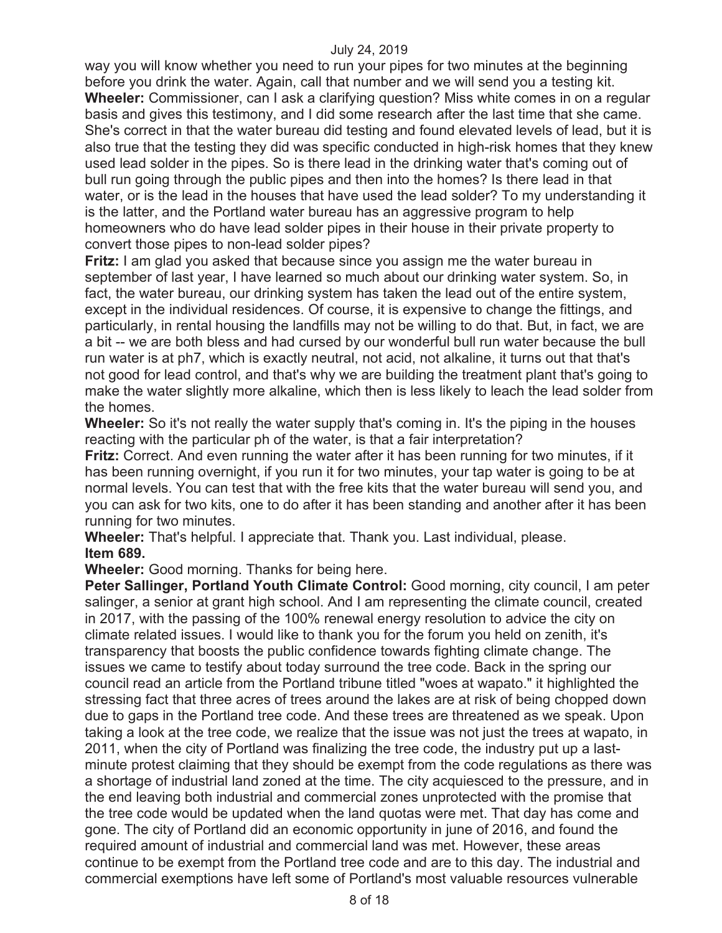way you will know whether you need to run your pipes for two minutes at the beginning before you drink the water. Again, call that number and we will send you a testing kit. **Wheeler:** Commissioner, can I ask a clarifying question? Miss white comes in on a regular basis and gives this testimony, and I did some research after the last time that she came. She's correct in that the water bureau did testing and found elevated levels of lead, but it is also true that the testing they did was specific conducted in high-risk homes that they knew used lead solder in the pipes. So is there lead in the drinking water that's coming out of bull run going through the public pipes and then into the homes? Is there lead in that water, or is the lead in the houses that have used the lead solder? To my understanding it is the latter, and the Portland water bureau has an aggressive program to help homeowners who do have lead solder pipes in their house in their private property to convert those pipes to non-lead solder pipes?

**Fritz:** I am glad you asked that because since you assign me the water bureau in september of last year, I have learned so much about our drinking water system. So, in fact, the water bureau, our drinking system has taken the lead out of the entire system, except in the individual residences. Of course, it is expensive to change the fittings, and particularly, in rental housing the landfills may not be willing to do that. But, in fact, we are a bit -- we are both bless and had cursed by our wonderful bull run water because the bull run water is at ph7, which is exactly neutral, not acid, not alkaline, it turns out that that's not good for lead control, and that's why we are building the treatment plant that's going to make the water slightly more alkaline, which then is less likely to leach the lead solder from the homes.

**Wheeler:** So it's not really the water supply that's coming in. It's the piping in the houses reacting with the particular ph of the water, is that a fair interpretation?

**Fritz:** Correct. And even running the water after it has been running for two minutes, if it has been running overnight, if you run it for two minutes, your tap water is going to be at normal levels. You can test that with the free kits that the water bureau will send you, and you can ask for two kits, one to do after it has been standing and another after it has been running for two minutes.

**Wheeler:** That's helpful. I appreciate that. Thank you. Last individual, please. **Item 689.** 

**Wheeler:** Good morning. Thanks for being here.

**Peter Sallinger, Portland Youth Climate Control:** Good morning, city council, I am peter salinger, a senior at grant high school. And I am representing the climate council, created in 2017, with the passing of the 100% renewal energy resolution to advice the city on climate related issues. I would like to thank you for the forum you held on zenith, it's transparency that boosts the public confidence towards fighting climate change. The issues we came to testify about today surround the tree code. Back in the spring our council read an article from the Portland tribune titled "woes at wapato." it highlighted the stressing fact that three acres of trees around the lakes are at risk of being chopped down due to gaps in the Portland tree code. And these trees are threatened as we speak. Upon taking a look at the tree code, we realize that the issue was not just the trees at wapato, in 2011, when the city of Portland was finalizing the tree code, the industry put up a lastminute protest claiming that they should be exempt from the code regulations as there was a shortage of industrial land zoned at the time. The city acquiesced to the pressure, and in the end leaving both industrial and commercial zones unprotected with the promise that the tree code would be updated when the land quotas were met. That day has come and gone. The city of Portland did an economic opportunity in june of 2016, and found the required amount of industrial and commercial land was met. However, these areas continue to be exempt from the Portland tree code and are to this day. The industrial and commercial exemptions have left some of Portland's most valuable resources vulnerable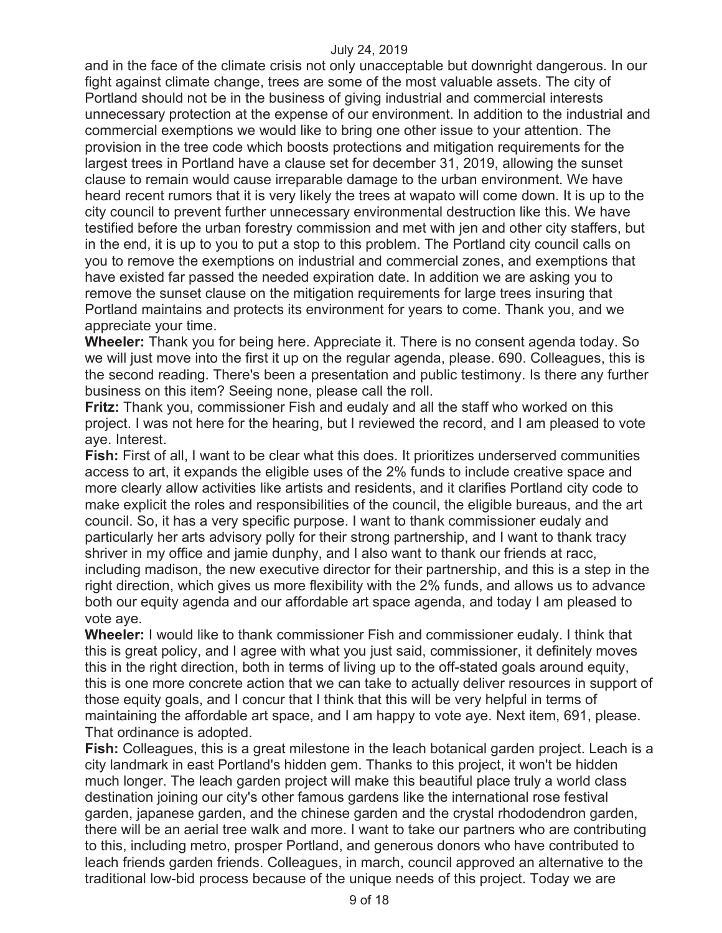and in the face of the climate crisis not only unacceptable but downright dangerous. In our fight against climate change, trees are some of the most valuable assets. The city of Portland should not be in the business of giving industrial and commercial interests unnecessary protection at the expense of our environment. In addition to the industrial and commercial exemptions we would like to bring one other issue to your attention. The provision in the tree code which boosts protections and mitigation requirements for the largest trees in Portland have a clause set for december 31, 2019, allowing the sunset clause to remain would cause irreparable damage to the urban environment. We have heard recent rumors that it is very likely the trees at wapato will come down. It is up to the city council to prevent further unnecessary environmental destruction like this. We have testified before the urban forestry commission and met with jen and other city staffers, but in the end, it is up to you to put a stop to this problem. The Portland city council calls on you to remove the exemptions on industrial and commercial zones, and exemptions that have existed far passed the needed expiration date. In addition we are asking you to remove the sunset clause on the mitigation requirements for large trees insuring that Portland maintains and protects its environment for years to come. Thank you, and we appreciate your time.

**Wheeler:** Thank you for being here. Appreciate it. There is no consent agenda today. So we will just move into the first it up on the regular agenda, please. 690. Colleagues, this is the second reading. There's been a presentation and public testimony. Is there any further business on this item? Seeing none, please call the roll.

**Fritz:** Thank you, commissioner Fish and eudaly and all the staff who worked on this project. I was not here for the hearing, but I reviewed the record, and I am pleased to vote aye. Interest.

**Fish:** First of all, I want to be clear what this does. It prioritizes underserved communities access to art, it expands the eligible uses of the 2% funds to include creative space and more clearly allow activities like artists and residents, and it clarifies Portland city code to make explicit the roles and responsibilities of the council, the eligible bureaus, and the art council. So, it has a very specific purpose. I want to thank commissioner eudaly and particularly her arts advisory polly for their strong partnership, and I want to thank tracy shriver in my office and jamie dunphy, and I also want to thank our friends at racc, including madison, the new executive director for their partnership, and this is a step in the right direction, which gives us more flexibility with the 2% funds, and allows us to advance both our equity agenda and our affordable art space agenda, and today I am pleased to vote aye.

**Wheeler:** I would like to thank commissioner Fish and commissioner eudaly. I think that this is great policy, and I agree with what you just said, commissioner, it definitely moves this in the right direction, both in terms of living up to the off-stated goals around equity, this is one more concrete action that we can take to actually deliver resources in support of those equity goals, and I concur that I think that this will be very helpful in terms of maintaining the affordable art space, and I am happy to vote aye. Next item, 691, please. That ordinance is adopted.

**Fish:** Colleagues, this is a great milestone in the leach botanical garden project. Leach is a city landmark in east Portland's hidden gem. Thanks to this project, it won't be hidden much longer. The leach garden project will make this beautiful place truly a world class destination joining our city's other famous gardens like the international rose festival garden, japanese garden, and the chinese garden and the crystal rhododendron garden, there will be an aerial tree walk and more. I want to take our partners who are contributing to this, including metro, prosper Portland, and generous donors who have contributed to leach friends garden friends. Colleagues, in march, council approved an alternative to the traditional low-bid process because of the unique needs of this project. Today we are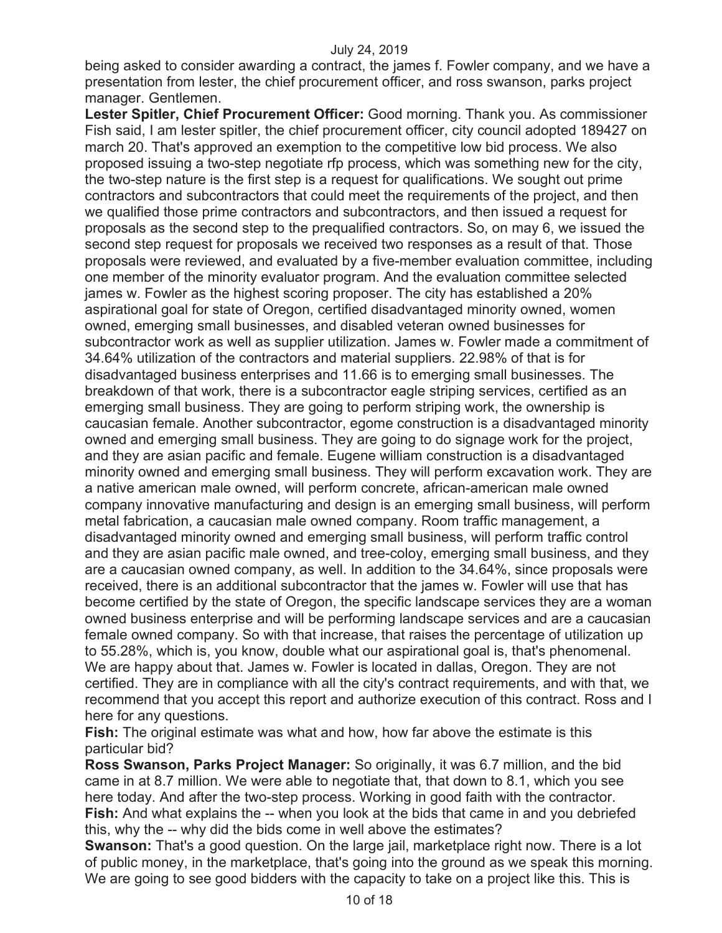being asked to consider awarding a contract, the james f. Fowler company, and we have a presentation from lester, the chief procurement officer, and ross swanson, parks project manager. Gentlemen.

**Lester Spitler, Chief Procurement Officer:** Good morning. Thank you. As commissioner Fish said, I am lester spitler, the chief procurement officer, city council adopted 189427 on march 20. That's approved an exemption to the competitive low bid process. We also proposed issuing a two-step negotiate rfp process, which was something new for the city, the two-step nature is the first step is a request for qualifications. We sought out prime contractors and subcontractors that could meet the requirements of the project, and then we qualified those prime contractors and subcontractors, and then issued a request for proposals as the second step to the prequalified contractors. So, on may 6, we issued the second step request for proposals we received two responses as a result of that. Those proposals were reviewed, and evaluated by a five-member evaluation committee, including one member of the minority evaluator program. And the evaluation committee selected james w. Fowler as the highest scoring proposer. The city has established a 20% aspirational goal for state of Oregon, certified disadvantaged minority owned, women owned, emerging small businesses, and disabled veteran owned businesses for subcontractor work as well as supplier utilization. James w. Fowler made a commitment of 34.64% utilization of the contractors and material suppliers. 22.98% of that is for disadvantaged business enterprises and 11.66 is to emerging small businesses. The breakdown of that work, there is a subcontractor eagle striping services, certified as an emerging small business. They are going to perform striping work, the ownership is caucasian female. Another subcontractor, egome construction is a disadvantaged minority owned and emerging small business. They are going to do signage work for the project, and they are asian pacific and female. Eugene william construction is a disadvantaged minority owned and emerging small business. They will perform excavation work. They are a native american male owned, will perform concrete, african-american male owned company innovative manufacturing and design is an emerging small business, will perform metal fabrication, a caucasian male owned company. Room traffic management, a disadvantaged minority owned and emerging small business, will perform traffic control and they are asian pacific male owned, and tree-coloy, emerging small business, and they are a caucasian owned company, as well. In addition to the 34.64%, since proposals were received, there is an additional subcontractor that the james w. Fowler will use that has become certified by the state of Oregon, the specific landscape services they are a woman owned business enterprise and will be performing landscape services and are a caucasian female owned company. So with that increase, that raises the percentage of utilization up to 55.28%, which is, you know, double what our aspirational goal is, that's phenomenal. We are happy about that. James w. Fowler is located in dallas, Oregon. They are not certified. They are in compliance with all the city's contract requirements, and with that, we recommend that you accept this report and authorize execution of this contract. Ross and I here for any questions.

**Fish:** The original estimate was what and how, how far above the estimate is this particular bid?

**Ross Swanson, Parks Project Manager:** So originally, it was 6.7 million, and the bid came in at 8.7 million. We were able to negotiate that, that down to 8.1, which you see here today. And after the two-step process. Working in good faith with the contractor. **Fish:** And what explains the -- when you look at the bids that came in and you debriefed this, why the -- why did the bids come in well above the estimates?

**Swanson:** That's a good question. On the large jail, marketplace right now. There is a lot of public money, in the marketplace, that's going into the ground as we speak this morning. We are going to see good bidders with the capacity to take on a project like this. This is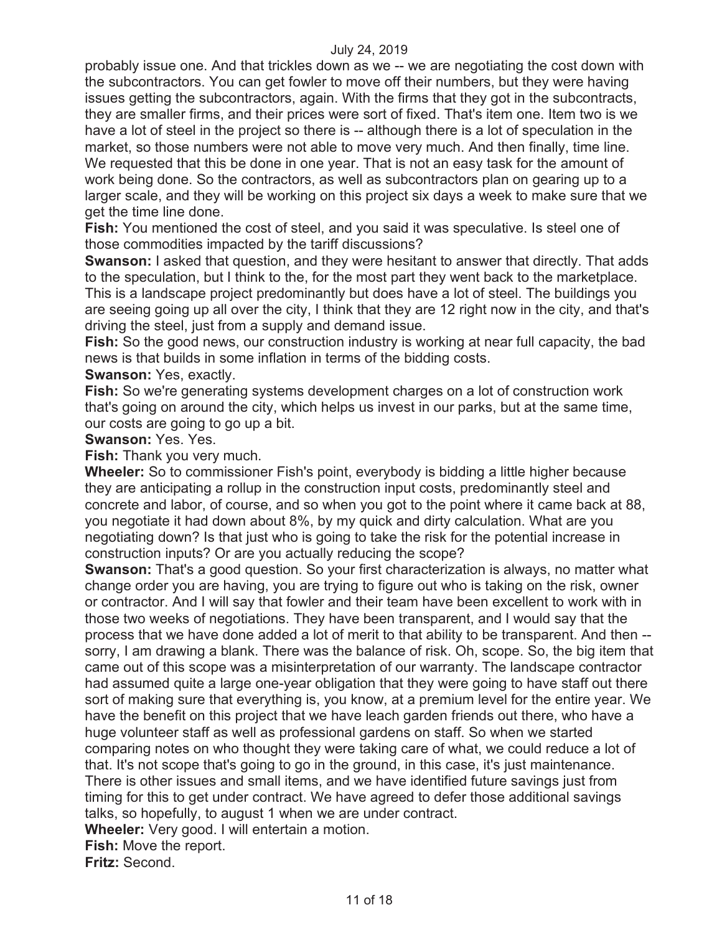probably issue one. And that trickles down as we -- we are negotiating the cost down with the subcontractors. You can get fowler to move off their numbers, but they were having issues getting the subcontractors, again. With the firms that they got in the subcontracts, they are smaller firms, and their prices were sort of fixed. That's item one. Item two is we have a lot of steel in the project so there is -- although there is a lot of speculation in the market, so those numbers were not able to move very much. And then finally, time line. We requested that this be done in one year. That is not an easy task for the amount of work being done. So the contractors, as well as subcontractors plan on gearing up to a larger scale, and they will be working on this project six days a week to make sure that we get the time line done.

**Fish:** You mentioned the cost of steel, and you said it was speculative. Is steel one of those commodities impacted by the tariff discussions?

**Swanson:** I asked that question, and they were hesitant to answer that directly. That adds to the speculation, but I think to the, for the most part they went back to the marketplace. This is a landscape project predominantly but does have a lot of steel. The buildings you are seeing going up all over the city, I think that they are 12 right now in the city, and that's driving the steel, just from a supply and demand issue.

**Fish:** So the good news, our construction industry is working at near full capacity, the bad news is that builds in some inflation in terms of the bidding costs.

## **Swanson:** Yes, exactly.

**Fish:** So we're generating systems development charges on a lot of construction work that's going on around the city, which helps us invest in our parks, but at the same time, our costs are going to go up a bit.

**Swanson:** Yes. Yes.

**Fish:** Thank you very much.

**Wheeler:** So to commissioner Fish's point, everybody is bidding a little higher because they are anticipating a rollup in the construction input costs, predominantly steel and concrete and labor, of course, and so when you got to the point where it came back at 88, you negotiate it had down about 8%, by my quick and dirty calculation. What are you negotiating down? Is that just who is going to take the risk for the potential increase in construction inputs? Or are you actually reducing the scope?

**Swanson:** That's a good question. So your first characterization is always, no matter what change order you are having, you are trying to figure out who is taking on the risk, owner or contractor. And I will say that fowler and their team have been excellent to work with in those two weeks of negotiations. They have been transparent, and I would say that the process that we have done added a lot of merit to that ability to be transparent. And then - sorry, I am drawing a blank. There was the balance of risk. Oh, scope. So, the big item that came out of this scope was a misinterpretation of our warranty. The landscape contractor had assumed quite a large one-year obligation that they were going to have staff out there sort of making sure that everything is, you know, at a premium level for the entire year. We have the benefit on this project that we have leach garden friends out there, who have a huge volunteer staff as well as professional gardens on staff. So when we started comparing notes on who thought they were taking care of what, we could reduce a lot of that. It's not scope that's going to go in the ground, in this case, it's just maintenance. There is other issues and small items, and we have identified future savings just from timing for this to get under contract. We have agreed to defer those additional savings talks, so hopefully, to august 1 when we are under contract.

**Wheeler:** Very good. I will entertain a motion.

**Fish:** Move the report.

**Fritz:** Second.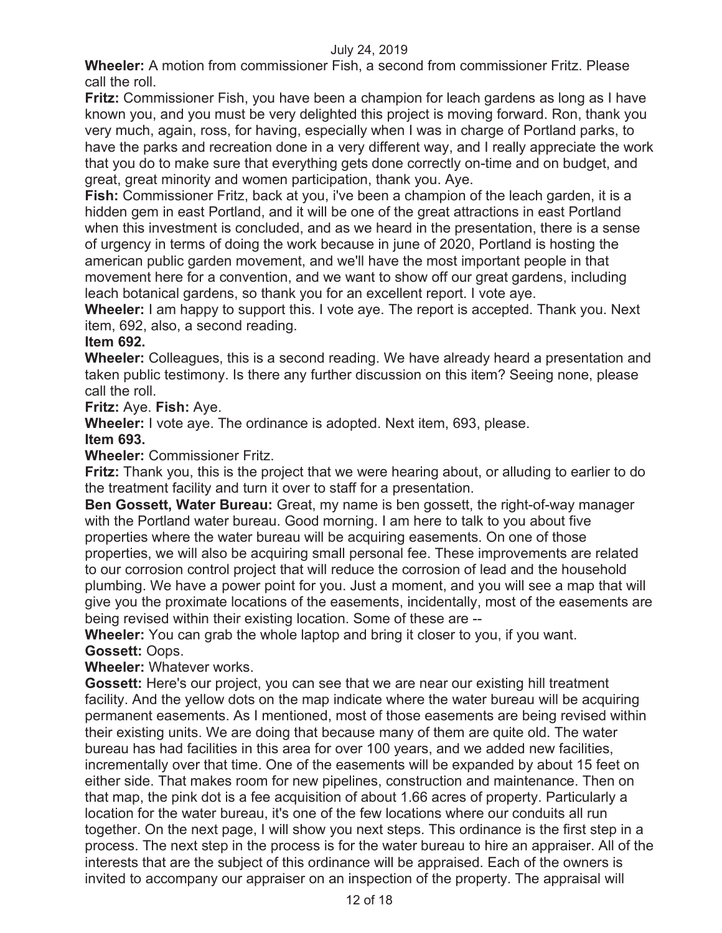**Wheeler:** A motion from commissioner Fish, a second from commissioner Fritz. Please call the roll.

**Fritz:** Commissioner Fish, you have been a champion for leach gardens as long as I have known you, and you must be very delighted this project is moving forward. Ron, thank you very much, again, ross, for having, especially when I was in charge of Portland parks, to have the parks and recreation done in a very different way, and I really appreciate the work that you do to make sure that everything gets done correctly on-time and on budget, and great, great minority and women participation, thank you. Aye.

**Fish:** Commissioner Fritz, back at you, i've been a champion of the leach garden, it is a hidden gem in east Portland, and it will be one of the great attractions in east Portland when this investment is concluded, and as we heard in the presentation, there is a sense of urgency in terms of doing the work because in june of 2020, Portland is hosting the american public garden movement, and we'll have the most important people in that movement here for a convention, and we want to show off our great gardens, including leach botanical gardens, so thank you for an excellent report. I vote aye.

**Wheeler:** I am happy to support this. I vote aye. The report is accepted. Thank you. Next item, 692, also, a second reading.

# **Item 692.**

**Wheeler:** Colleagues, this is a second reading. We have already heard a presentation and taken public testimony. Is there any further discussion on this item? Seeing none, please call the roll.

**Fritz:** Aye. **Fish:** Aye.

**Wheeler:** I vote aye. The ordinance is adopted. Next item, 693, please.

**Item 693.** 

**Wheeler:** Commissioner Fritz.

**Fritz:** Thank you, this is the project that we were hearing about, or alluding to earlier to do the treatment facility and turn it over to staff for a presentation.

**Ben Gossett, Water Bureau:** Great, my name is ben gossett, the right-of-way manager with the Portland water bureau. Good morning. I am here to talk to you about five properties where the water bureau will be acquiring easements. On one of those properties, we will also be acquiring small personal fee. These improvements are related to our corrosion control project that will reduce the corrosion of lead and the household plumbing. We have a power point for you. Just a moment, and you will see a map that will give you the proximate locations of the easements, incidentally, most of the easements are being revised within their existing location. Some of these are --

**Wheeler:** You can grab the whole laptop and bring it closer to you, if you want. **Gossett:** Oops.

**Wheeler:** Whatever works.

**Gossett:** Here's our project, you can see that we are near our existing hill treatment facility. And the yellow dots on the map indicate where the water bureau will be acquiring permanent easements. As I mentioned, most of those easements are being revised within their existing units. We are doing that because many of them are quite old. The water bureau has had facilities in this area for over 100 years, and we added new facilities, incrementally over that time. One of the easements will be expanded by about 15 feet on either side. That makes room for new pipelines, construction and maintenance. Then on that map, the pink dot is a fee acquisition of about 1.66 acres of property. Particularly a location for the water bureau, it's one of the few locations where our conduits all run together. On the next page, I will show you next steps. This ordinance is the first step in a process. The next step in the process is for the water bureau to hire an appraiser. All of the interests that are the subject of this ordinance will be appraised. Each of the owners is invited to accompany our appraiser on an inspection of the property. The appraisal will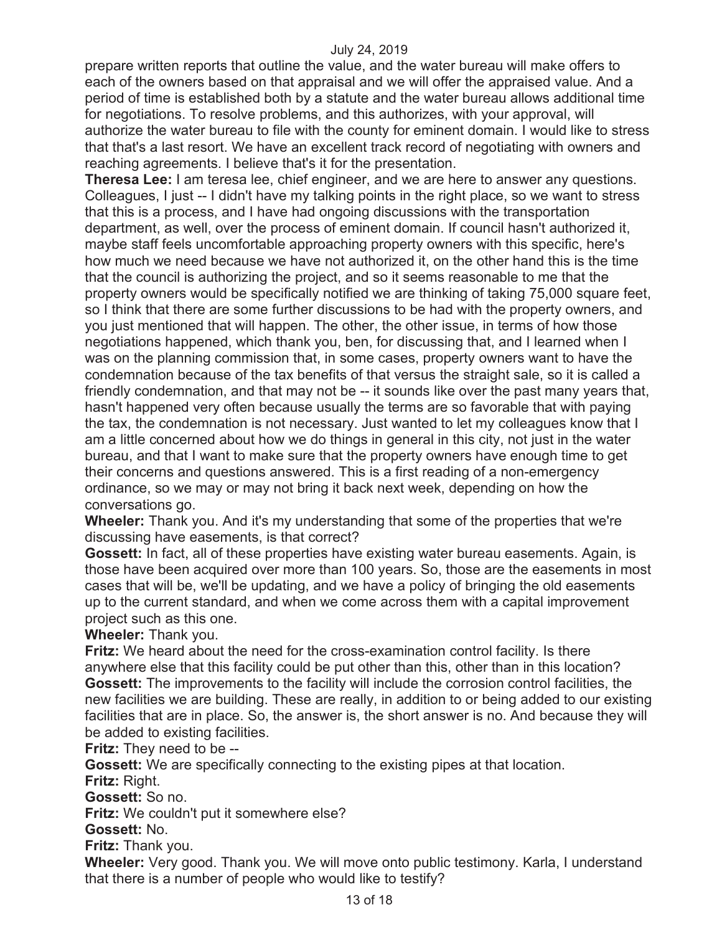prepare written reports that outline the value, and the water bureau will make offers to each of the owners based on that appraisal and we will offer the appraised value. And a period of time is established both by a statute and the water bureau allows additional time for negotiations. To resolve problems, and this authorizes, with your approval, will authorize the water bureau to file with the county for eminent domain. I would like to stress that that's a last resort. We have an excellent track record of negotiating with owners and reaching agreements. I believe that's it for the presentation.

**Theresa Lee:** I am teresa lee, chief engineer, and we are here to answer any questions. Colleagues, I just -- I didn't have my talking points in the right place, so we want to stress that this is a process, and I have had ongoing discussions with the transportation department, as well, over the process of eminent domain. If council hasn't authorized it, maybe staff feels uncomfortable approaching property owners with this specific, here's how much we need because we have not authorized it, on the other hand this is the time that the council is authorizing the project, and so it seems reasonable to me that the property owners would be specifically notified we are thinking of taking 75,000 square feet, so I think that there are some further discussions to be had with the property owners, and you just mentioned that will happen. The other, the other issue, in terms of how those negotiations happened, which thank you, ben, for discussing that, and I learned when I was on the planning commission that, in some cases, property owners want to have the condemnation because of the tax benefits of that versus the straight sale, so it is called a friendly condemnation, and that may not be -- it sounds like over the past many years that, hasn't happened very often because usually the terms are so favorable that with paying the tax, the condemnation is not necessary. Just wanted to let my colleagues know that I am a little concerned about how we do things in general in this city, not just in the water bureau, and that I want to make sure that the property owners have enough time to get their concerns and questions answered. This is a first reading of a non-emergency ordinance, so we may or may not bring it back next week, depending on how the conversations go.

**Wheeler:** Thank you. And it's my understanding that some of the properties that we're discussing have easements, is that correct?

**Gossett:** In fact, all of these properties have existing water bureau easements. Again, is those have been acquired over more than 100 years. So, those are the easements in most cases that will be, we'll be updating, and we have a policy of bringing the old easements up to the current standard, and when we come across them with a capital improvement project such as this one.

**Wheeler:** Thank you.

**Fritz:** We heard about the need for the cross-examination control facility. Is there anywhere else that this facility could be put other than this, other than in this location? **Gossett:** The improvements to the facility will include the corrosion control facilities, the new facilities we are building. These are really, in addition to or being added to our existing facilities that are in place. So, the answer is, the short answer is no. And because they will be added to existing facilities.

**Fritz:** They need to be --

**Gossett:** We are specifically connecting to the existing pipes at that location. **Fritz:** Right.

**Gossett:** So no.

**Fritz:** We couldn't put it somewhere else?

**Gossett:** No.

**Fritz:** Thank you.

**Wheeler:** Very good. Thank you. We will move onto public testimony. Karla, I understand that there is a number of people who would like to testify?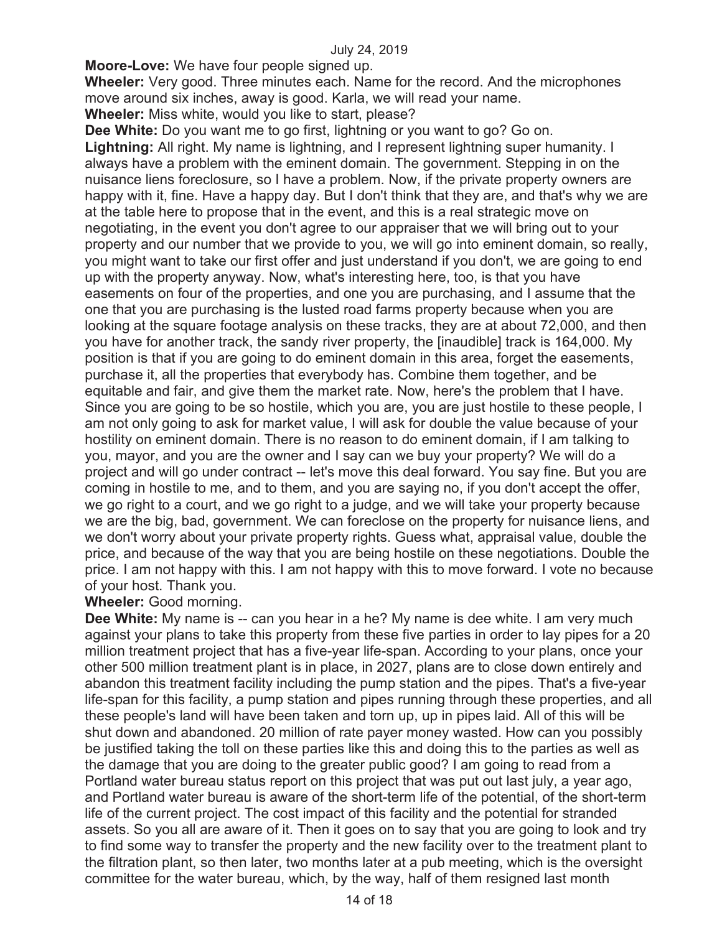**Moore-Love:** We have four people signed up.

**Wheeler:** Very good. Three minutes each. Name for the record. And the microphones move around six inches, away is good. Karla, we will read your name.

**Wheeler:** Miss white, would you like to start, please?

**Dee White:** Do you want me to go first, lightning or you want to go? Go on. **Lightning:** All right. My name is lightning, and I represent lightning super humanity. I always have a problem with the eminent domain. The government. Stepping in on the nuisance liens foreclosure, so I have a problem. Now, if the private property owners are happy with it, fine. Have a happy day. But I don't think that they are, and that's why we are at the table here to propose that in the event, and this is a real strategic move on negotiating, in the event you don't agree to our appraiser that we will bring out to your property and our number that we provide to you, we will go into eminent domain, so really, you might want to take our first offer and just understand if you don't, we are going to end up with the property anyway. Now, what's interesting here, too, is that you have easements on four of the properties, and one you are purchasing, and I assume that the one that you are purchasing is the lusted road farms property because when you are looking at the square footage analysis on these tracks, they are at about 72,000, and then you have for another track, the sandy river property, the [inaudible] track is 164,000. My position is that if you are going to do eminent domain in this area, forget the easements, purchase it, all the properties that everybody has. Combine them together, and be equitable and fair, and give them the market rate. Now, here's the problem that I have. Since you are going to be so hostile, which you are, you are just hostile to these people, I am not only going to ask for market value, I will ask for double the value because of your hostility on eminent domain. There is no reason to do eminent domain, if I am talking to you, mayor, and you are the owner and I say can we buy your property? We will do a project and will go under contract -- let's move this deal forward. You say fine. But you are coming in hostile to me, and to them, and you are saying no, if you don't accept the offer, we go right to a court, and we go right to a judge, and we will take your property because we are the big, bad, government. We can foreclose on the property for nuisance liens, and we don't worry about your private property rights. Guess what, appraisal value, double the price, and because of the way that you are being hostile on these negotiations. Double the price. I am not happy with this. I am not happy with this to move forward. I vote no because of your host. Thank you.

# **Wheeler:** Good morning.

**Dee White:** My name is -- can you hear in a he? My name is dee white. I am very much against your plans to take this property from these five parties in order to lay pipes for a 20 million treatment project that has a five-year life-span. According to your plans, once your other 500 million treatment plant is in place, in 2027, plans are to close down entirely and abandon this treatment facility including the pump station and the pipes. That's a five-year life-span for this facility, a pump station and pipes running through these properties, and all these people's land will have been taken and torn up, up in pipes laid. All of this will be shut down and abandoned. 20 million of rate payer money wasted. How can you possibly be justified taking the toll on these parties like this and doing this to the parties as well as the damage that you are doing to the greater public good? I am going to read from a Portland water bureau status report on this project that was put out last july, a year ago, and Portland water bureau is aware of the short-term life of the potential, of the short-term life of the current project. The cost impact of this facility and the potential for stranded assets. So you all are aware of it. Then it goes on to say that you are going to look and try to find some way to transfer the property and the new facility over to the treatment plant to the filtration plant, so then later, two months later at a pub meeting, which is the oversight committee for the water bureau, which, by the way, half of them resigned last month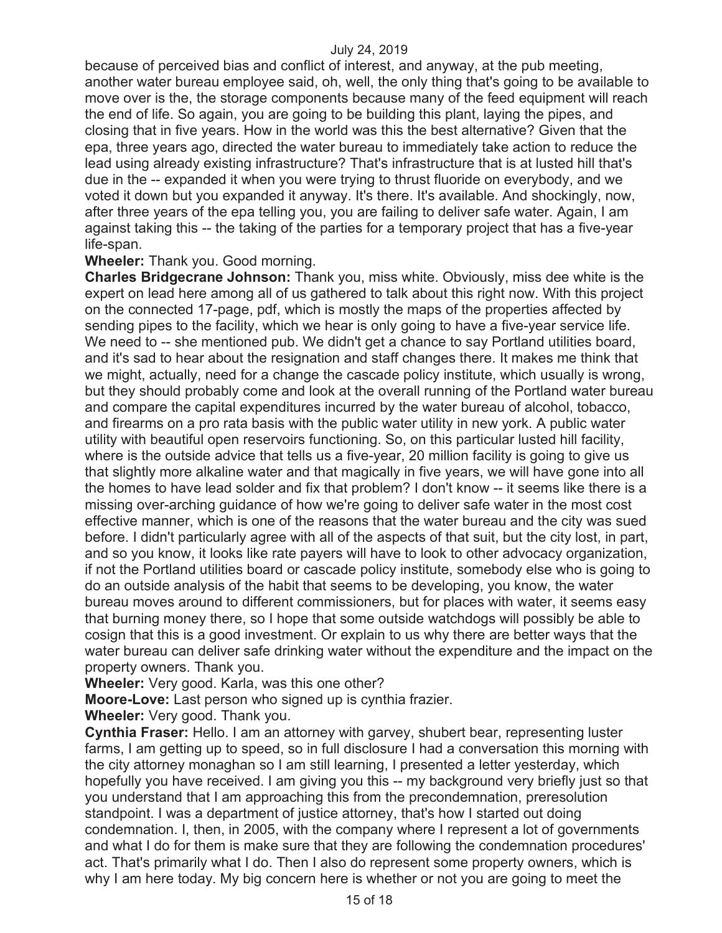because of perceived bias and conflict of interest, and anyway, at the pub meeting, another water bureau employee said, oh, well, the only thing that's going to be available to move over is the, the storage components because many of the feed equipment will reach the end of life. So again, you are going to be building this plant, laying the pipes, and closing that in five years. How in the world was this the best alternative? Given that the epa, three years ago, directed the water bureau to immediately take action to reduce the lead using already existing infrastructure? That's infrastructure that is at lusted hill that's due in the -- expanded it when you were trying to thrust fluoride on everybody, and we voted it down but you expanded it anyway. It's there. It's available. And shockingly, now, after three years of the epa telling you, you are failing to deliver safe water. Again, I am against taking this -- the taking of the parties for a temporary project that has a five-year life-span.

## **Wheeler:** Thank you. Good morning.

**Charles Bridgecrane Johnson:** Thank you, miss white. Obviously, miss dee white is the expert on lead here among all of us gathered to talk about this right now. With this project on the connected 17-page, pdf, which is mostly the maps of the properties affected by sending pipes to the facility, which we hear is only going to have a five-year service life. We need to -- she mentioned pub. We didn't get a chance to say Portland utilities board, and it's sad to hear about the resignation and staff changes there. It makes me think that we might, actually, need for a change the cascade policy institute, which usually is wrong, but they should probably come and look at the overall running of the Portland water bureau and compare the capital expenditures incurred by the water bureau of alcohol, tobacco, and firearms on a pro rata basis with the public water utility in new york. A public water utility with beautiful open reservoirs functioning. So, on this particular lusted hill facility, where is the outside advice that tells us a five-year, 20 million facility is going to give us that slightly more alkaline water and that magically in five years, we will have gone into all the homes to have lead solder and fix that problem? I don't know -- it seems like there is a missing over-arching guidance of how we're going to deliver safe water in the most cost effective manner, which is one of the reasons that the water bureau and the city was sued before. I didn't particularly agree with all of the aspects of that suit, but the city lost, in part, and so you know, it looks like rate payers will have to look to other advocacy organization, if not the Portland utilities board or cascade policy institute, somebody else who is going to do an outside analysis of the habit that seems to be developing, you know, the water bureau moves around to different commissioners, but for places with water, it seems easy that burning money there, so I hope that some outside watchdogs will possibly be able to cosign that this is a good investment. Or explain to us why there are better ways that the water bureau can deliver safe drinking water without the expenditure and the impact on the property owners. Thank you.

**Wheeler:** Very good. Karla, was this one other?

**Moore-Love:** Last person who signed up is cynthia frazier.

**Wheeler:** Very good. Thank you.

**Cynthia Fraser:** Hello. I am an attorney with garvey, shubert bear, representing luster farms, I am getting up to speed, so in full disclosure I had a conversation this morning with the city attorney monaghan so I am still learning, I presented a letter yesterday, which hopefully you have received. I am giving you this -- my background very briefly just so that you understand that I am approaching this from the precondemnation, preresolution standpoint. I was a department of justice attorney, that's how I started out doing condemnation. I, then, in 2005, with the company where I represent a lot of governments and what I do for them is make sure that they are following the condemnation procedures' act. That's primarily what I do. Then I also do represent some property owners, which is why I am here today. My big concern here is whether or not you are going to meet the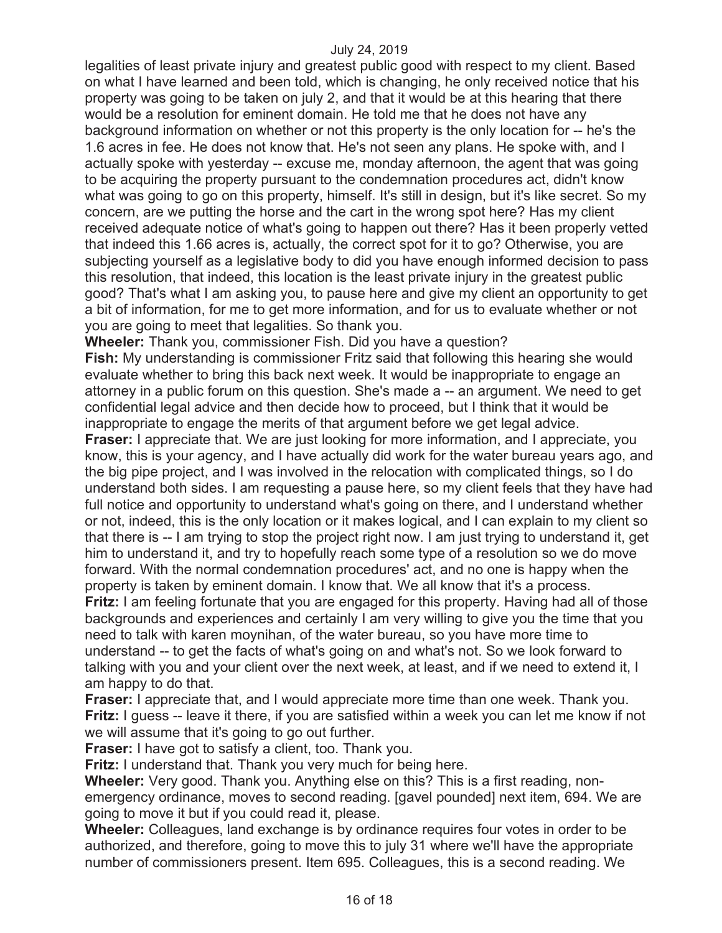legalities of least private injury and greatest public good with respect to my client. Based on what I have learned and been told, which is changing, he only received notice that his property was going to be taken on july 2, and that it would be at this hearing that there would be a resolution for eminent domain. He told me that he does not have any background information on whether or not this property is the only location for -- he's the 1.6 acres in fee. He does not know that. He's not seen any plans. He spoke with, and I actually spoke with yesterday -- excuse me, monday afternoon, the agent that was going to be acquiring the property pursuant to the condemnation procedures act, didn't know what was going to go on this property, himself. It's still in design, but it's like secret. So my concern, are we putting the horse and the cart in the wrong spot here? Has my client received adequate notice of what's going to happen out there? Has it been properly vetted that indeed this 1.66 acres is, actually, the correct spot for it to go? Otherwise, you are subjecting yourself as a legislative body to did you have enough informed decision to pass this resolution, that indeed, this location is the least private injury in the greatest public good? That's what I am asking you, to pause here and give my client an opportunity to get a bit of information, for me to get more information, and for us to evaluate whether or not you are going to meet that legalities. So thank you.

**Wheeler:** Thank you, commissioner Fish. Did you have a question?

**Fish:** My understanding is commissioner Fritz said that following this hearing she would evaluate whether to bring this back next week. It would be inappropriate to engage an attorney in a public forum on this question. She's made a -- an argument. We need to get confidential legal advice and then decide how to proceed, but I think that it would be inappropriate to engage the merits of that argument before we get legal advice. **Fraser:** I appreciate that. We are just looking for more information, and I appreciate, you know, this is your agency, and I have actually did work for the water bureau years ago, and the big pipe project, and I was involved in the relocation with complicated things, so I do understand both sides. I am requesting a pause here, so my client feels that they have had full notice and opportunity to understand what's going on there, and I understand whether or not, indeed, this is the only location or it makes logical, and I can explain to my client so that there is -- I am trying to stop the project right now. I am just trying to understand it, get him to understand it, and try to hopefully reach some type of a resolution so we do move forward. With the normal condemnation procedures' act, and no one is happy when the property is taken by eminent domain. I know that. We all know that it's a process.

**Fritz:** I am feeling fortunate that you are engaged for this property. Having had all of those backgrounds and experiences and certainly I am very willing to give you the time that you need to talk with karen moynihan, of the water bureau, so you have more time to understand -- to get the facts of what's going on and what's not. So we look forward to talking with you and your client over the next week, at least, and if we need to extend it, I am happy to do that.

**Fraser:** I appreciate that, and I would appreciate more time than one week. Thank you. **Fritz:** I guess -- leave it there, if you are satisfied within a week you can let me know if not we will assume that it's going to go out further.

**Fraser:** I have got to satisfy a client, too. Thank you.

**Fritz:** I understand that. Thank you very much for being here.

**Wheeler:** Very good. Thank you. Anything else on this? This is a first reading, nonemergency ordinance, moves to second reading. [gavel pounded] next item, 694. We are going to move it but if you could read it, please.

**Wheeler:** Colleagues, land exchange is by ordinance requires four votes in order to be authorized, and therefore, going to move this to july 31 where we'll have the appropriate number of commissioners present. Item 695. Colleagues, this is a second reading. We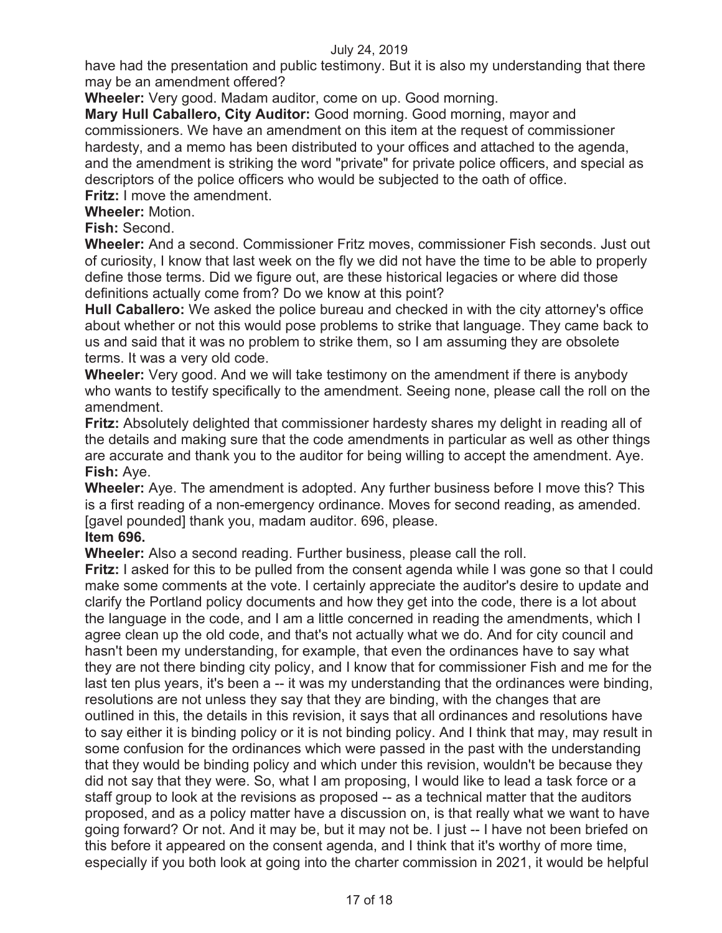have had the presentation and public testimony. But it is also my understanding that there may be an amendment offered?

**Wheeler:** Very good. Madam auditor, come on up. Good morning.

**Mary Hull Caballero, City Auditor:** Good morning. Good morning, mayor and commissioners. We have an amendment on this item at the request of commissioner hardesty, and a memo has been distributed to your offices and attached to the agenda, and the amendment is striking the word "private" for private police officers, and special as descriptors of the police officers who would be subjected to the oath of office. **Fritz:** I move the amendment.

**Wheeler:** Motion.

**Fish:** Second.

**Wheeler:** And a second. Commissioner Fritz moves, commissioner Fish seconds. Just out of curiosity, I know that last week on the fly we did not have the time to be able to properly define those terms. Did we figure out, are these historical legacies or where did those definitions actually come from? Do we know at this point?

**Hull Caballero:** We asked the police bureau and checked in with the city attorney's office about whether or not this would pose problems to strike that language. They came back to us and said that it was no problem to strike them, so I am assuming they are obsolete terms. It was a very old code.

**Wheeler:** Very good. And we will take testimony on the amendment if there is anybody who wants to testify specifically to the amendment. Seeing none, please call the roll on the amendment.

**Fritz:** Absolutely delighted that commissioner hardesty shares my delight in reading all of the details and making sure that the code amendments in particular as well as other things are accurate and thank you to the auditor for being willing to accept the amendment. Aye. **Fish:** Aye.

**Wheeler:** Aye. The amendment is adopted. Any further business before I move this? This is a first reading of a non-emergency ordinance. Moves for second reading, as amended. [gavel pounded] thank you, madam auditor. 696, please.

**Item 696.** 

**Wheeler:** Also a second reading. Further business, please call the roll.

**Fritz:** I asked for this to be pulled from the consent agenda while I was gone so that I could make some comments at the vote. I certainly appreciate the auditor's desire to update and clarify the Portland policy documents and how they get into the code, there is a lot about the language in the code, and I am a little concerned in reading the amendments, which I agree clean up the old code, and that's not actually what we do. And for city council and hasn't been my understanding, for example, that even the ordinances have to say what they are not there binding city policy, and I know that for commissioner Fish and me for the last ten plus years, it's been a -- it was my understanding that the ordinances were binding, resolutions are not unless they say that they are binding, with the changes that are outlined in this, the details in this revision, it says that all ordinances and resolutions have to say either it is binding policy or it is not binding policy. And I think that may, may result in some confusion for the ordinances which were passed in the past with the understanding that they would be binding policy and which under this revision, wouldn't be because they did not say that they were. So, what I am proposing, I would like to lead a task force or a staff group to look at the revisions as proposed -- as a technical matter that the auditors proposed, and as a policy matter have a discussion on, is that really what we want to have going forward? Or not. And it may be, but it may not be. I just -- I have not been briefed on this before it appeared on the consent agenda, and I think that it's worthy of more time, especially if you both look at going into the charter commission in 2021, it would be helpful